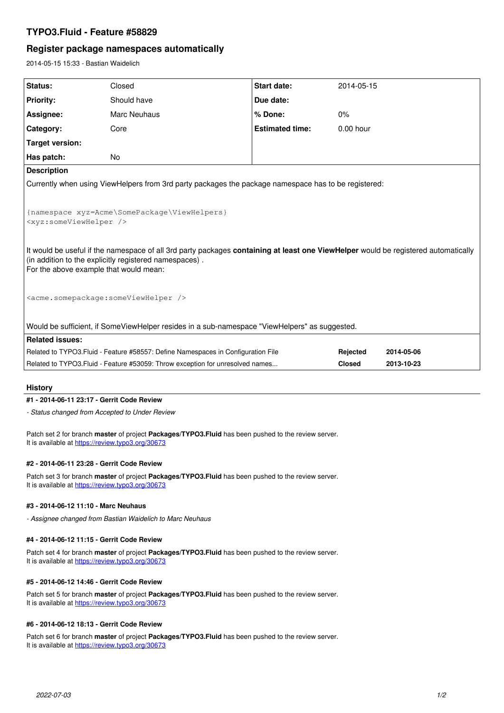## **TYPO3.Fluid - Feature #58829**

# **Register package namespaces automatically**

2014-05-15 15:33 - Bastian Waidelich

| Status:                                                                                                                            | Closed                                                                         | Start date:            | 2014-05-15    |            |
|------------------------------------------------------------------------------------------------------------------------------------|--------------------------------------------------------------------------------|------------------------|---------------|------------|
| <b>Priority:</b>                                                                                                                   | Should have                                                                    | Due date:              |               |            |
| Assignee:                                                                                                                          | <b>Marc Neuhaus</b>                                                            | % Done:                | $0\%$         |            |
| Category:                                                                                                                          | Core                                                                           | <b>Estimated time:</b> | $0.00$ hour   |            |
| <b>Target version:</b>                                                                                                             |                                                                                |                        |               |            |
| Has patch:                                                                                                                         | No.                                                                            |                        |               |            |
| <b>Description</b>                                                                                                                 |                                                                                |                        |               |            |
| Currently when using ViewHelpers from 3rd party packages the package namespace has to be registered:                               |                                                                                |                        |               |            |
|                                                                                                                                    |                                                                                |                        |               |            |
| {namespace xyz=Acme\SomePackage\ViewHelpers}                                                                                       |                                                                                |                        |               |            |
| <xyz:someviewhelper></xyz:someviewhelper>                                                                                          |                                                                                |                        |               |            |
|                                                                                                                                    |                                                                                |                        |               |            |
| It would be useful if the namespace of all 3rd party packages containing at least one ViewHelper would be registered automatically |                                                                                |                        |               |            |
| (in addition to the explicitly registered namespaces).                                                                             |                                                                                |                        |               |            |
| For the above example that would mean:                                                                                             |                                                                                |                        |               |            |
|                                                                                                                                    |                                                                                |                        |               |            |
| <acme.somepackage:someviewhelper></acme.somepackage:someviewhelper>                                                                |                                                                                |                        |               |            |
|                                                                                                                                    |                                                                                |                        |               |            |
| Would be sufficient, if SomeViewHelper resides in a sub-namespace "ViewHelpers" as suggested.                                      |                                                                                |                        |               |            |
| <b>Related issues:</b>                                                                                                             |                                                                                |                        |               |            |
| Related to TYPO3. Fluid - Feature #58557: Define Namespaces in Configuration File                                                  |                                                                                |                        | Rejected      | 2014-05-06 |
|                                                                                                                                    | Related to TYPO3. Fluid - Feature #53059: Throw exception for unresolved names |                        | <b>Closed</b> | 2013-10-23 |
|                                                                                                                                    |                                                                                |                        |               |            |

## **History**

## **#1 - 2014-06-11 23:17 - Gerrit Code Review**

*- Status changed from Accepted to Under Review*

Patch set 2 for branch **master** of project **Packages/TYPO3.Fluid** has been pushed to the review server. It is available at <https://review.typo3.org/30673>

#### **#2 - 2014-06-11 23:28 - Gerrit Code Review**

Patch set 3 for branch **master** of project **Packages/TYPO3.Fluid** has been pushed to the review server. It is available at <https://review.typo3.org/30673>

### **#3 - 2014-06-12 11:10 - Marc Neuhaus**

*- Assignee changed from Bastian Waidelich to Marc Neuhaus*

#### **#4 - 2014-06-12 11:15 - Gerrit Code Review**

Patch set 4 for branch **master** of project **Packages/TYPO3.Fluid** has been pushed to the review server. It is available at <https://review.typo3.org/30673>

#### **#5 - 2014-06-12 14:46 - Gerrit Code Review**

Patch set 5 for branch **master** of project **Packages/TYPO3.Fluid** has been pushed to the review server. It is available at <https://review.typo3.org/30673>

#### **#6 - 2014-06-12 18:13 - Gerrit Code Review**

Patch set 6 for branch **master** of project **Packages/TYPO3.Fluid** has been pushed to the review server. It is available at <https://review.typo3.org/30673>